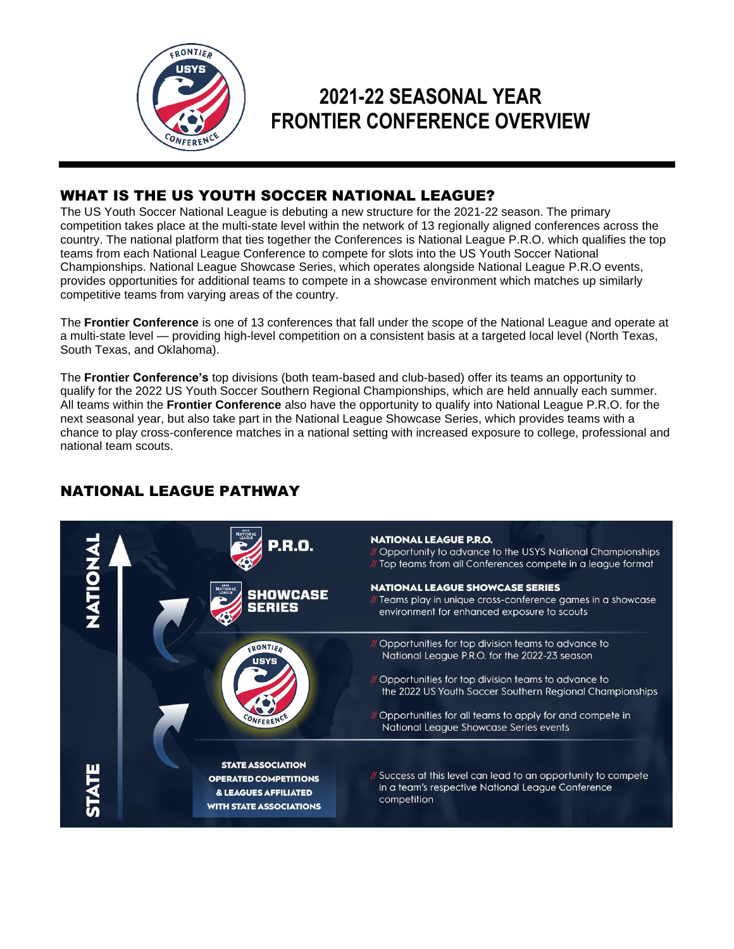

# **2021-22 SEASONAL YEAR FRONTIER CONFERENCE OVERVIEW**

# WHAT IS THE US YOUTH SOCCER NATIONAL LEAGUE?

The US Youth Soccer National League is debuting a new structure for the 2021-22 season. The primary competition takes place at the multi-state level within the network of 13 regionally aligned conferences across the country. The national platform that ties together the Conferences is National League P.R.O. which qualifies the top teams from each National League Conference to compete for slots into the US Youth Soccer National Championships. National League Showcase Series, which operates alongside National League P.R.O events, provides opportunities for additional teams to compete in a showcase environment which matches up similarly competitive teams from varying areas of the country.

The **Frontier Conference** is one of 13 conferences that fall under the scope of the National League and operate at a multi-state level — providing high-level competition on a consistent basis at a targeted local level (North Texas, South Texas, and Oklahoma).

The **Frontier Conference's** top divisions (both team-based and club-based) offer its teams an opportunity to qualify for the 2022 US Youth Soccer Southern Regional Championships, which are held annually each summer. All teams within the **Frontier Conference** also have the opportunity to qualify into National League P.R.O. for the next seasonal year, but also take part in the National League Showcase Series, which provides teams with a chance to play cross-conference matches in a national setting with increased exposure to college, professional and national team scouts.

# NATIONAL LEAGUE PATHWAY

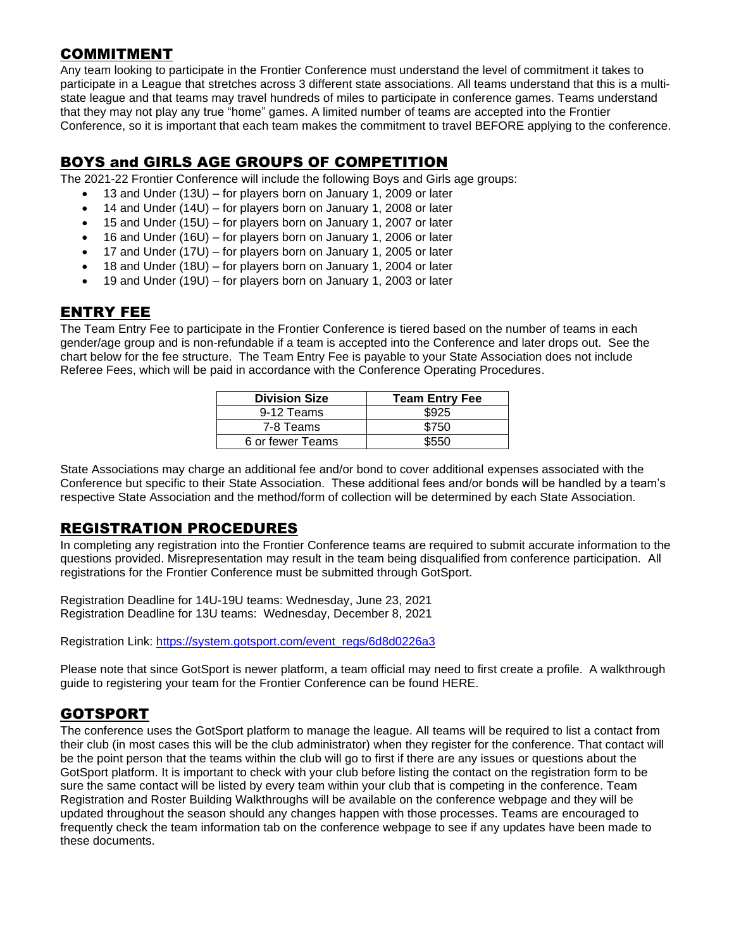### COMMITMENT

Any team looking to participate in the Frontier Conference must understand the level of commitment it takes to participate in a League that stretches across 3 different state associations. All teams understand that this is a multistate league and that teams may travel hundreds of miles to participate in conference games. Teams understand that they may not play any true "home" games. A limited number of teams are accepted into the Frontier Conference, so it is important that each team makes the commitment to travel BEFORE applying to the conference.

# BOYS and GIRLS AGE GROUPS OF COMPETITION

The 2021-22 Frontier Conference will include the following Boys and Girls age groups:

- 13 and Under (13U) for players born on January 1, 2009 or later
- 14 and Under (14U) for players born on January 1, 2008 or later
- 15 and Under (15U) for players born on January 1, 2007 or later
- 16 and Under (16U) for players born on January 1, 2006 or later
- 17 and Under (17U) for players born on January 1, 2005 or later
- 18 and Under (18U) for players born on January 1, 2004 or later
- 19 and Under (19U) for players born on January 1, 2003 or later

### ENTRY FEE

The Team Entry Fee to participate in the Frontier Conference is tiered based on the number of teams in each gender/age group and is non-refundable if a team is accepted into the Conference and later drops out. See the chart below for the fee structure. The Team Entry Fee is payable to your State Association does not include Referee Fees, which will be paid in accordance with the Conference Operating Procedures.

| <b>Division Size</b> | <b>Team Entry Fee</b> |  |
|----------------------|-----------------------|--|
| 9-12 Teams           | \$925                 |  |
| 7-8 Teams            | \$750                 |  |
| 6 or fewer Teams     | \$550                 |  |

State Associations may charge an additional fee and/or bond to cover additional expenses associated with the Conference but specific to their State Association. These additional fees and/or bonds will be handled by a team's respective State Association and the method/form of collection will be determined by each State Association.

# REGISTRATION PROCEDURES

In completing any registration into the Frontier Conference teams are required to submit accurate information to the questions provided. Misrepresentation may result in the team being disqualified from conference participation. All registrations for the Frontier Conference must be submitted through GotSport.

Registration Deadline for 14U-19U teams: Wednesday, June 23, 2021 Registration Deadline for 13U teams: Wednesday, December 8, 2021

Registration Link: [https://system.gotsport.com/event\\_regs/6d8d0226a3](https://system.gotsport.com/event_regs/6d8d0226a3)

Please note that since GotSport is newer platform, a team official may need to first create a profile. A walkthrough guide to registering your team for the Frontier Conference can be found HERE.

# GOTSPORT

The conference uses the GotSport platform to manage the league. All teams will be required to list a contact from their club (in most cases this will be the club administrator) when they register for the conference. That contact will be the point person that the teams within the club will go to first if there are any issues or questions about the GotSport platform. It is important to check with your club before listing the contact on the registration form to be sure the same contact will be listed by every team within your club that is competing in the conference. Team Registration and Roster Building Walkthroughs will be available on the conference webpage and they will be updated throughout the season should any changes happen with those processes. Teams are encouraged to frequently check the team information tab on the conference webpage to see if any updates have been made to these documents.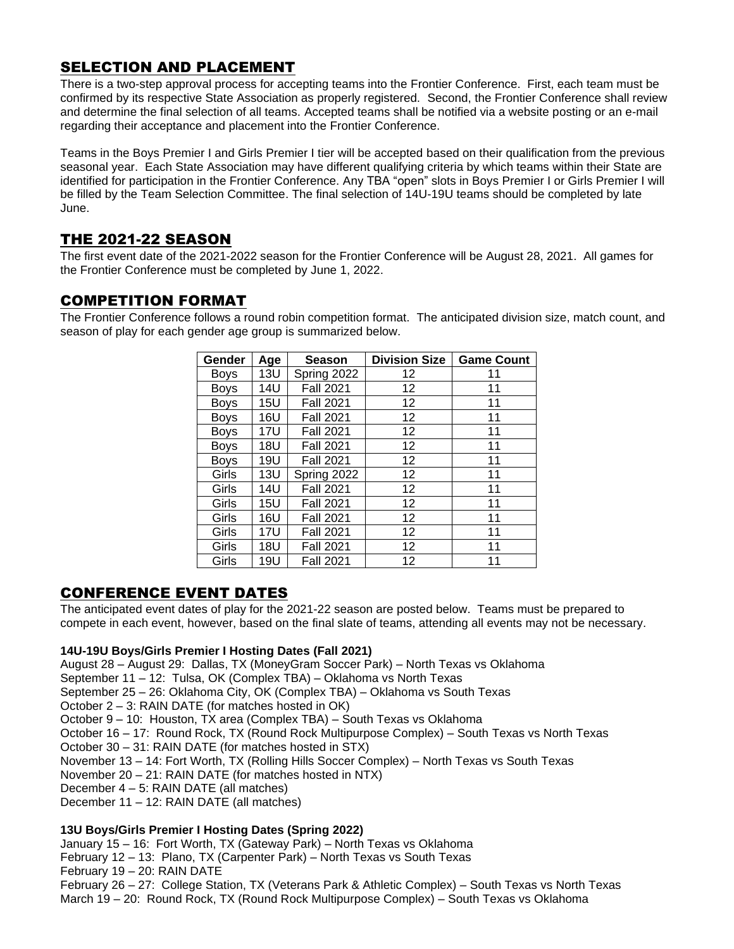# SELECTION AND PLACEMENT

There is a two-step approval process for accepting teams into the Frontier Conference. First, each team must be confirmed by its respective State Association as properly registered. Second, the Frontier Conference shall review and determine the final selection of all teams. Accepted teams shall be notified via a website posting or an e-mail regarding their acceptance and placement into the Frontier Conference.

Teams in the Boys Premier I and Girls Premier I tier will be accepted based on their qualification from the previous seasonal year. Each State Association may have different qualifying criteria by which teams within their State are identified for participation in the Frontier Conference. Any TBA "open" slots in Boys Premier I or Girls Premier I will be filled by the Team Selection Committee. The final selection of 14U-19U teams should be completed by late June.

# THE 2021-22 SEASON

The first event date of the 2021-2022 season for the Frontier Conference will be August 28, 2021. All games for the Frontier Conference must be completed by June 1, 2022.

### COMPETITION FORMAT

The Frontier Conference follows a round robin competition format. The anticipated division size, match count, and season of play for each gender age group is summarized below.

| Gender      | Age        | <b>Season</b>    | <b>Division Size</b> | <b>Game Count</b> |
|-------------|------------|------------------|----------------------|-------------------|
| <b>Boys</b> | <b>13U</b> | Spring 2022      | 12                   | 11                |
| <b>Boys</b> | 14U        | <b>Fall 2021</b> | 12 <sub>2</sub>      | 11                |
| <b>Boys</b> | 15U        | <b>Fall 2021</b> | 12 <sub>2</sub>      | 11                |
| <b>Boys</b> | 16U        | <b>Fall 2021</b> | 12                   | 11                |
| <b>Boys</b> | 17U        | <b>Fall 2021</b> | 12 <sub>2</sub>      | 11                |
| <b>Boys</b> | 18U        | <b>Fall 2021</b> | 12                   | 11                |
| <b>Boys</b> | 19U        | <b>Fall 2021</b> | 12 <sub>2</sub>      | 11                |
| Girls       | 13U        | Spring 2022      | 12                   | 11                |
| Girls       | 14U        | <b>Fall 2021</b> | 12 <sub>2</sub>      | 11                |
| Girls       | 15U        | <b>Fall 2021</b> | 12 <sub>2</sub>      | 11                |
| Girls       | 16U        | <b>Fall 2021</b> | 12 <sub>2</sub>      | 11                |
| Girls       | 17U        | <b>Fall 2021</b> | 12                   | 11                |
| Girls       | 18U        | <b>Fall 2021</b> | 12 <sub>2</sub>      | 11                |
| Girls       | 19U        | <b>Fall 2021</b> | 12                   | 11                |

# CONFERENCE EVENT DATES

The anticipated event dates of play for the 2021-22 season are posted below. Teams must be prepared to compete in each event, however, based on the final slate of teams, attending all events may not be necessary.

#### **14U-19U Boys/Girls Premier I Hosting Dates (Fall 2021)**

August 28 – August 29: Dallas, TX (MoneyGram Soccer Park) – North Texas vs Oklahoma September 11 – 12: Tulsa, OK (Complex TBA) – Oklahoma vs North Texas September 25 – 26: Oklahoma City, OK (Complex TBA) – Oklahoma vs South Texas October 2 – 3: RAIN DATE (for matches hosted in OK) October 9 – 10: Houston, TX area (Complex TBA) – South Texas vs Oklahoma October 16 – 17: Round Rock, TX (Round Rock Multipurpose Complex) – South Texas vs North Texas October 30 – 31: RAIN DATE (for matches hosted in STX) November 13 – 14: Fort Worth, TX (Rolling Hills Soccer Complex) – North Texas vs South Texas November 20 – 21: RAIN DATE (for matches hosted in NTX) December 4 – 5: RAIN DATE (all matches) December 11 – 12: RAIN DATE (all matches)

#### **13U Boys/Girls Premier I Hosting Dates (Spring 2022)**

January 15 – 16: Fort Worth, TX (Gateway Park) – North Texas vs Oklahoma

February 12 – 13: Plano, TX (Carpenter Park) – North Texas vs South Texas

February 19 – 20: RAIN DATE

February 26 – 27: College Station, TX (Veterans Park & Athletic Complex) – South Texas vs North Texas March 19 – 20: Round Rock, TX (Round Rock Multipurpose Complex) – South Texas vs Oklahoma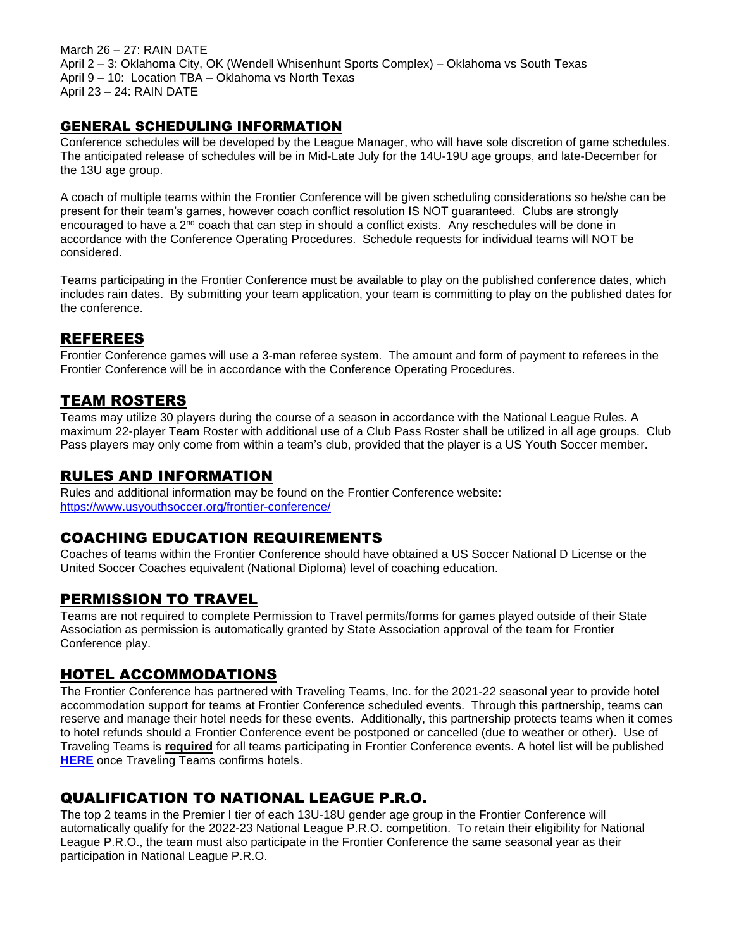March 26 – 27: RAIN DATE April 2 – 3: Oklahoma City, OK (Wendell Whisenhunt Sports Complex) – Oklahoma vs South Texas April 9 – 10: Location TBA – Oklahoma vs North Texas April 23 – 24: RAIN DATE

#### GENERAL SCHEDULING INFORMATION

Conference schedules will be developed by the League Manager, who will have sole discretion of game schedules. The anticipated release of schedules will be in Mid-Late July for the 14U-19U age groups, and late-December for the 13U age group.

A coach of multiple teams within the Frontier Conference will be given scheduling considerations so he/she can be present for their team's games, however coach conflict resolution IS NOT guaranteed. Clubs are strongly encouraged to have a  $2<sup>nd</sup>$  coach that can step in should a conflict exists. Any reschedules will be done in accordance with the Conference Operating Procedures. Schedule requests for individual teams will NOT be considered.

Teams participating in the Frontier Conference must be available to play on the published conference dates, which includes rain dates. By submitting your team application, your team is committing to play on the published dates for the conference.

### REFEREES

Frontier Conference games will use a 3-man referee system. The amount and form of payment to referees in the Frontier Conference will be in accordance with the Conference Operating Procedures.

#### TEAM ROSTERS

Teams may utilize 30 players during the course of a season in accordance with the National League Rules. A maximum 22-player Team Roster with additional use of a Club Pass Roster shall be utilized in all age groups. Club Pass players may only come from within a team's club, provided that the player is a US Youth Soccer member.

#### RULES AND INFORMATION

Rules and additional information may be found on the Frontier Conference website: <https://www.usyouthsoccer.org/frontier-conference/>

#### COACHING EDUCATION REQUIREMENTS

Coaches of teams within the Frontier Conference should have obtained a US Soccer National D License or the United Soccer Coaches equivalent (National Diploma) level of coaching education.

#### PERMISSION TO TRAVEL

Teams are not required to complete Permission to Travel permits/forms for games played outside of their State Association as permission is automatically granted by State Association approval of the team for Frontier Conference play.

### HOTEL ACCOMMODATIONS

The Frontier Conference has partnered with Traveling Teams, Inc. for the 2021-22 seasonal year to provide hotel accommodation support for teams at Frontier Conference scheduled events. Through this partnership, teams can reserve and manage their hotel needs for these events. Additionally, this partnership protects teams when it comes to hotel refunds should a Frontier Conference event be postponed or cancelled (due to weather or other). Use of Traveling Teams is **required** for all teams participating in Frontier Conference events. A hotel list will be published **[HERE](https://ttievent.com/eventmanager/onlineregistration.asp?D=d&EventCode=KIN)** once Traveling Teams confirms hotels.

# QUALIFICATION TO NATIONAL LEAGUE P.R.O.

The top 2 teams in the Premier I tier of each 13U-18U gender age group in the Frontier Conference will automatically qualify for the 2022-23 National League P.R.O. competition. To retain their eligibility for National League P.R.O., the team must also participate in the Frontier Conference the same seasonal year as their participation in National League P.R.O.